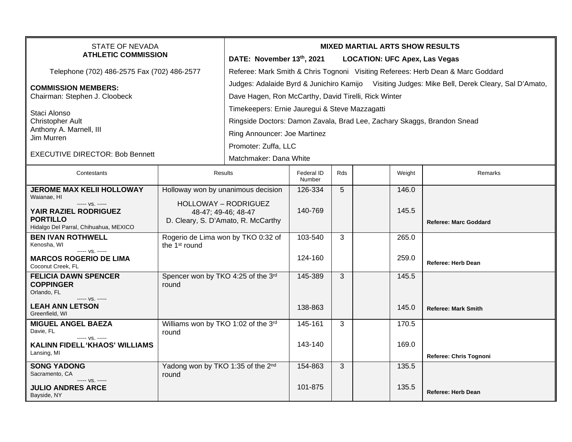| <b>STATE OF NEVADA</b><br><b>ATHLETIC COMMISSION</b>                                                                                            |                                                                   | <b>MIXED MARTIAL ARTS SHOW RESULTS</b><br>DATE: November 13th, 2021<br><b>LOCATION: UFC Apex, Las Vegas</b>                                                                                               |                             |     |        |                              |  |  |
|-------------------------------------------------------------------------------------------------------------------------------------------------|-------------------------------------------------------------------|-----------------------------------------------------------------------------------------------------------------------------------------------------------------------------------------------------------|-----------------------------|-----|--------|------------------------------|--|--|
| Telephone (702) 486-2575 Fax (702) 486-2577                                                                                                     |                                                                   | Referee: Mark Smith & Chris Tognoni Visiting Referees: Herb Dean & Marc Goddard                                                                                                                           |                             |     |        |                              |  |  |
| <b>COMMISSION MEMBERS:</b><br>Chairman: Stephen J. Cloobeck<br>Staci Alonso<br><b>Christopher Ault</b><br>Anthony A. Marnell, III<br>Jim Murren |                                                                   | Judges: Adalaide Byrd & Junichiro Kamijo Visiting Judges: Mike Bell, Derek Cleary, Sal D'Amato,<br>Dave Hagen, Ron McCarthy, David Tirelli, Rick Winter<br>Timekeepers: Ernie Jauregui & Steve Mazzagatti |                             |     |        |                              |  |  |
|                                                                                                                                                 |                                                                   | Ringside Doctors: Damon Zavala, Brad Lee, Zachary Skaggs, Brandon Snead<br>Ring Announcer: Joe Martinez                                                                                                   |                             |     |        |                              |  |  |
| <b>EXECUTIVE DIRECTOR: Bob Bennett</b>                                                                                                          |                                                                   | Promoter: Zuffa, LLC<br>Matchmaker: Dana White                                                                                                                                                            |                             |     |        |                              |  |  |
| Contestants                                                                                                                                     |                                                                   | Results                                                                                                                                                                                                   | <b>Federal ID</b><br>Number | Rds | Weight | Remarks                      |  |  |
| <b>JEROME MAX KELII HOLLOWAY</b><br>Waianae, HI<br>----- VS. -----                                                                              | Holloway won by unanimous decision<br><b>HOLLOWAY - RODRIGUEZ</b> |                                                                                                                                                                                                           | 126-334                     | 5   | 146.0  |                              |  |  |
| YAIR RAZIEL RODRIGUEZ<br><b>PORTILLO</b><br>Hidalgo Del Parral, Chihuahua, MEXICO                                                               | 48-47; 49-46; 48-47<br>D. Cleary, S. D'Amato, R. McCarthy         |                                                                                                                                                                                                           | 140-769                     |     | 145.5  | <b>Referee: Marc Goddard</b> |  |  |
| <b>BEN IVAN ROTHWELL</b><br>Kenosha, WI<br>$--- vs. ---$                                                                                        | Rogerio de Lima won by TKO 0:32 of<br>the 1 <sup>st</sup> round   |                                                                                                                                                                                                           | 103-540                     | 3   | 265.0  |                              |  |  |
| <b>MARCOS ROGERIO DE LIMA</b><br>Coconut Creek, FL                                                                                              |                                                                   |                                                                                                                                                                                                           | 124-160                     |     | 259.0  | <b>Referee: Herb Dean</b>    |  |  |
| <b>FELICIA DAWN SPENCER</b><br><b>COPPINGER</b><br>Orlando, FL<br>$--- VS. ---$                                                                 | Spencer won by TKO 4:25 of the 3rd<br>round                       |                                                                                                                                                                                                           | 145-389                     | 3   | 145.5  |                              |  |  |
| <b>LEAH ANN LETSON</b><br>Greenfield, WI                                                                                                        |                                                                   |                                                                                                                                                                                                           | 138-863                     |     | 145.0  | <b>Referee: Mark Smith</b>   |  |  |
| <b>MIGUEL ANGEL BAEZA</b><br>Davie, FL<br>$--- VS. ---$                                                                                         | Williams won by TKO 1:02 of the 3rd<br>round                      |                                                                                                                                                                                                           | 145-161                     | 3   | 170.5  |                              |  |  |
| <b>KALINN FIDELL 'KHAOS' WILLIAMS</b><br>Lansing, MI                                                                                            |                                                                   |                                                                                                                                                                                                           | 143-140                     |     | 169.0  | Referee: Chris Tognoni       |  |  |
| <b>SONG YADONG</b><br>Sacramento, CA                                                                                                            | Yadong won by TKO 1:35 of the 2nd<br>round                        |                                                                                                                                                                                                           | 154-863                     | 3   | 135.5  |                              |  |  |
| ----- VS. -----<br><b>JULIO ANDRES ARCE</b><br>Bayside, NY                                                                                      |                                                                   |                                                                                                                                                                                                           | 101-875                     |     | 135.5  | <b>Referee: Herb Dean</b>    |  |  |